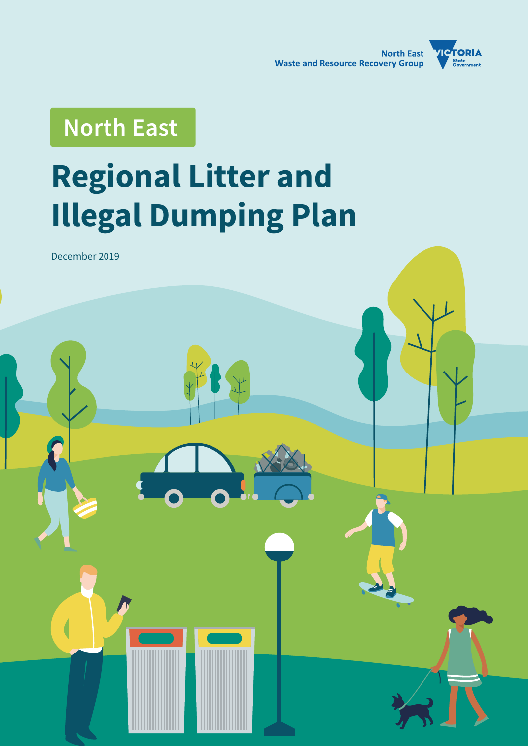

# **North East**

# **Regional Litter and Illegal Dumping Plan**

December 2019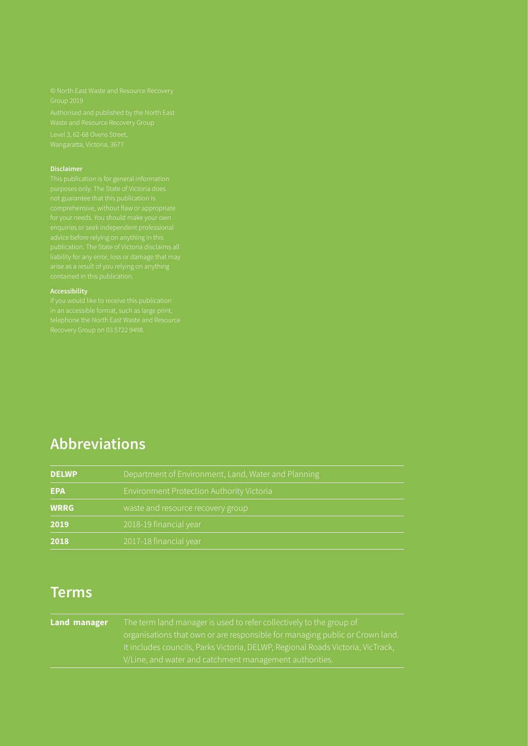#### **Disclaimer**

#### **Accessibility**

# **Abbreviations**

| <b>DELWP</b> | Department of Environment, Land, Water and Planning |  |
|--------------|-----------------------------------------------------|--|
| <b>EPA</b>   | Environment Protection Authority Victoria           |  |
| <b>WRRG</b>  | waste and resource recovery group                   |  |
| 2019         | 2018-19 financial year                              |  |
| 2018         | 2017-18 financial year                              |  |

# **Terms**

| <b>Land manager</b> | The term land manager is used to refer collectively to the group of             |
|---------------------|---------------------------------------------------------------------------------|
|                     | organisations that own or are responsible for managing public or Crown land.    |
|                     | It includes councils, Parks Victoria, DELWP, Regional Roads Victoria, VicTrack, |
|                     | V/Line, and water and catchment management authorities.                         |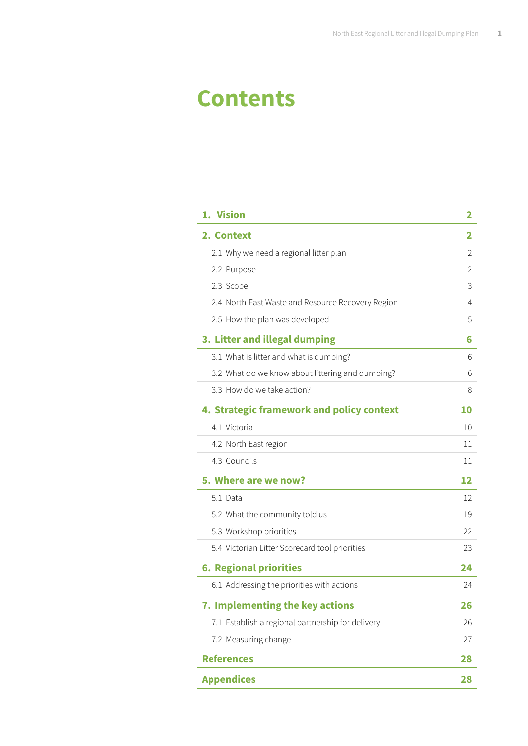# **Contents**

| 1. Vision                                         | 2              |
|---------------------------------------------------|----------------|
| 2. Context                                        | 2              |
| 2.1 Why we need a regional litter plan            | $\overline{2}$ |
| 2.2 Purpose                                       | $\overline{2}$ |
| 2.3 Scope                                         | 3              |
| 2.4 North East Waste and Resource Recovery Region | 4              |
| 2.5 How the plan was developed                    | 5              |
| 3. Litter and illegal dumping                     | 6              |
| 3.1 What is litter and what is dumping?           | 6              |
| 3.2 What do we know about littering and dumping?  | 6              |
| 3.3 How do we take action?                        | 8              |
| 4. Strategic framework and policy context         | <b>10</b>      |
| 4.1 Victoria                                      | 10             |
| 4.2 North East region                             | 11             |
| 4.3 Councils                                      | 11             |
| 5. Where are we now?                              | 12             |
| 5.1 Data                                          | 12             |
| 5.2 What the community told us                    | 19             |
| 5.3 Workshop priorities                           | 22             |
| 5.4 Victorian Litter Scorecard tool priorities    | 23             |
| <b>6. Regional priorities</b>                     | 24             |
| 6.1 Addressing the priorities with actions        | 24             |
| 7. Implementing the key actions                   | 26             |
| 7.1 Establish a regional partnership for delivery | 26             |
| 7.2 Measuring change                              | 27             |
| <b>References</b>                                 | 28             |
| <b>Appendices</b>                                 | 28             |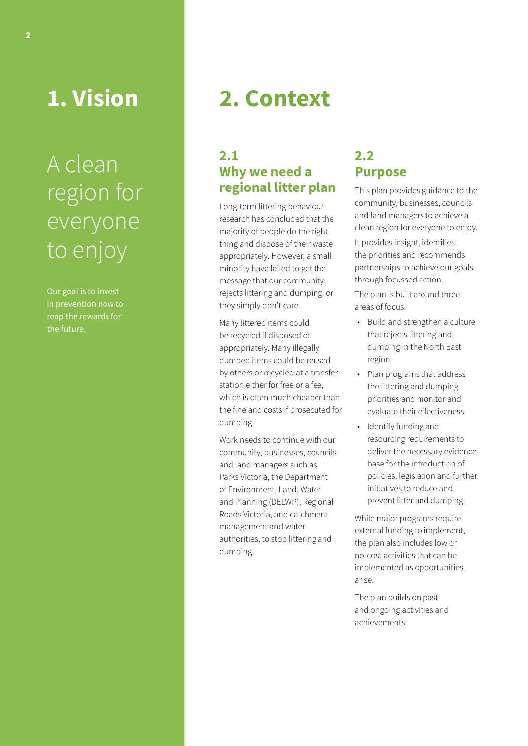<span id="page-3-0"></span>**1. Vision** 

# A clean region for everyone to enjoy

Our goal is to invest in prevention now to reap the rewards for the future.

# **2. Context**

## **2.1 Why we need a regional litter plan**

Long-term littering behaviour research has concluded that the majority of people do the right thing and dispose of their waste appropriately. However, a small minority have failed to get the message that our community rejects littering and dumping, or they simply don't care.

Many littered items could be recycled if disposed of appropriately. Many illegally dumped items could be reused by others or recycled at a transfer station either for free or a fee, which is often much cheaper than the fine and costs if prosecuted for dumping.

Work needs to continue with our community, businesses, councils and land managers such as Parks Victoria, the Department of Environment, Land, Water and Planning (DELWP), Regional Roads Victoria, Alpine Resorts and catchment management and water authorities, to stop littering and dumping.

## **2.2 Purpose**

This plan provides guidance to the community, businesses, councils and land managers to achieve a clean region for everyone to enjoy.

It provides insight, identifies the priorities and recommends partnerships to achieve our goals through focussed action.

The plan is built around three areas of focus:

- Build and strengthen a culture that rejects littering and dumping in the North East region.
- Plan programs that address the littering and dumping priorities and monitor and evaluate their effectiveness.
- Identify funding and resourcing requirements to deliver the necessary evidence base for the introduction of policies, legislation and further initiatives to reduce and prevent litter and dumping.

While major programs require external funding to implement, the plan also includes low or no-cost activities that can be implemented as opportunities arise.

The plan builds on past and ongoing activities and achievements.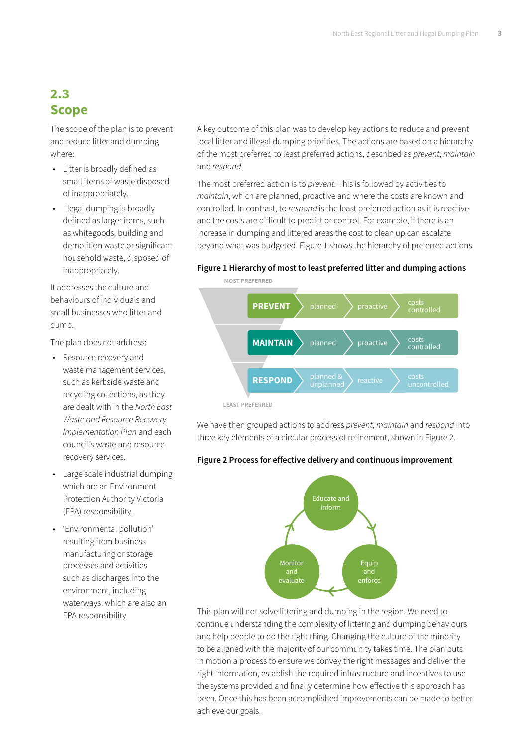# <span id="page-4-0"></span>**2.3 Scope**

The scope of the plan is to prevent and reduce litter and dumping where:

- Litter is broadly defined as small items of waste disposed of inappropriately.
- Illegal dumping is broadly defined as larger items, such as whitegoods, building and demolition waste or significant household waste, disposed of inappropriately.

It addresses the culture and behaviours of individuals and small businesses who litter and dump.

The plan does not address:

- Resource recovery and waste management services, such as kerbside waste and recycling collections, as they are dealt with in the *North East Waste and Resource Recovery Implementation Plan* and each council's waste and resource recovery services.
- Large scale industrial dumping which are an Environment Protection Authority Victoria (EPA) responsibility.
- 'Environmental pollution' resulting from business manufacturing or storage processes and activities such as discharges into the environment, including waterways, which are also an EPA responsibility.

A key outcome of this plan was to develop key actions to reduce and prevent local litter and illegal dumping priorities. The actions are based on a hierarchy of the most preferred to least preferred actions, described as *prevent*, *maintain* and *respond*.

The most preferred action is to *prevent*. This is followed by activities to *maintain*, which are planned, proactive and where the costs are known and controlled. In contrast, to *respond* is the least preferred action as it is reactive and the costs are difficult to predict or control. For example, if there is an increase in dumping and littered areas the cost to clean up can escalate beyond what was budgeted. Figure 1 shows the hierarchy of preferred actions.

#### **Figure 1 Hierarchy of most to least preferred litter and dumping actions**



We have then grouped actions to address *prevent*, *maintain* and *respond* into

# Educate and inform Monitor evaluate Equip enforce

three key elements of a circular process of refinement, shown in Figure 2.

This plan will not solve littering and dumping in the region. We need to continue understanding the complexity of littering and dumping behaviours and help people to do the right thing. Changing the culture of the minority to be aligned with the majority of our community takes time. The plan puts in motion a process to ensure we convey the right messages and deliver the right information, establish the required infrastructure and incentives to use the systems provided and finally determine how effective this approach has been. Once this has been accomplished improvements can be made to better achieve our goals.

### **Figure 2 Process for effective delivery and continuous improvement**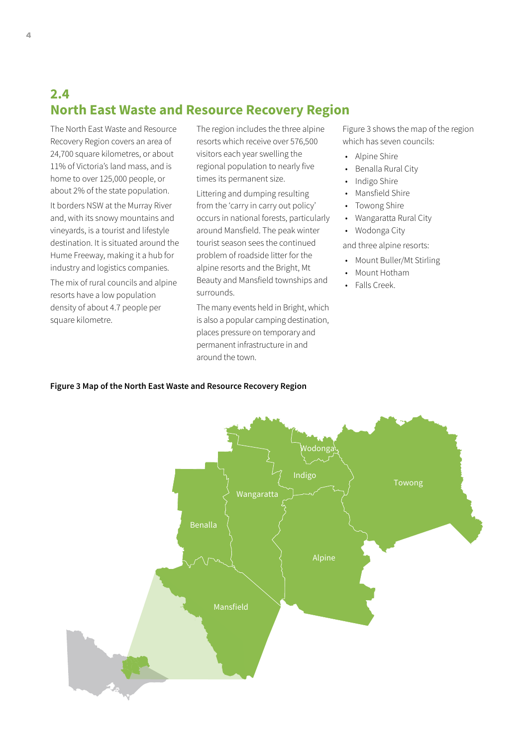# **2.4 North East Waste and Resource Recovery Region**

The North East Waste and Resource Recovery Region covers an area of 24,700 square kilometres, or about 11% of Victoria's land mass, and is home to over 125,000 people, or about 2% of the state population. It borders NSW at the Murray River and, with its snowy mountains and vineyards, is a tourist and lifestyle destination. It is situated around the Hume Freeway, making it a hub for industry and logistics companies.

The mix of rural councils and alpine resorts have a low population density of about 4.7 people per square kilometre.

The region includes the three alpine resorts which receive over 576,500 visitors each year swelling the regional population to nearly five times its permanent size.

Littering and dumping resulting from the 'carry in carry out policy' occurs in national forests, particularly around Mansfield. The peak winter tourist season sees the continued problem of roadside litter for the alpine resorts and the Bright, Mt Beauty and Mansfield townships and surrounds.

The many events held in Bright, which is also a popular camping destination, places pressure on temporary and permanent infrastructure in and around the town.

Figure 3 shows the map of the region which has seven councils:

- Alpine Shire
- Benalla Rural City
- Indigo Shire
- Mansfield Shire
- Towong Shire
- Wangaratta Rural City
- Wodonga City
- and three alpine resorts:
- Mount Buller/Mt Stirling
- Mount Hotham
- Falls Creek.

#### **Figure 3 Map of the North East Waste and Resource Recovery Region**

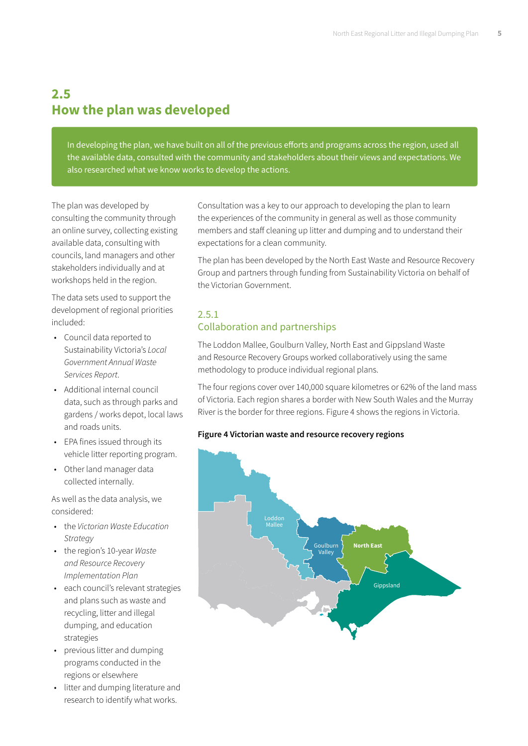# **2.5 How the plan was developed**

In developing the plan, we have built on all of the previous efforts and programs across the region, used all the available data, consulted with the community and stakeholders about their views and expectations. We also researched what we know works to develop the actions.

The plan was developed by consulting the community through an online survey, collecting existing available data, consulting with councils, land managers and other stakeholders individually and at workshops held in the region.

The data sets used to support the development of regional priorities included:

- Council data reported to Sustainability Victoria's *Local Government Annual Waste Services Report*.
- Additional internal council data, such as through parks and gardens / works depot, local laws and roads units.
- EPA fines issued through its vehicle litter reporting program.
- Other land manager data collected internally.

As well as the data analysis, we considered:

- the *Victorian Waste Education Strategy*
- the region's 10-year *Waste and Resource Recovery Implementation Plan*
- each council's relevant strategies and plans such as waste and recycling, litter and illegal dumping, and education strategies
- previous litter and dumping programs conducted in the regions or elsewhere
- litter and dumping literature and research to identify what works.

Consultation was a key to our approach to developing the plan to learn the experiences of the community in general as well as those community members and staff cleaning up litter and dumping and to understand their expectations for a clean community.

The plan has been developed by the North East Waste and Resource Recovery Group and partners through funding from Sustainability Victoria on behalf of the Victorian Government.

## 2.5.1 Collaboration and partnerships

The Loddon Mallee, Goulburn Valley, North East and Gippsland Waste and Resource Recovery Groups worked collaboratively using the same methodology to produce individual regional plans.

The four regions cover over 140,000 square kilometres or 62% of the land mass of Victoria. Each region shares a border with New South Wales and the Murray River is the border for three regions. Figure 4 shows the regions in Victoria.

### **Figure 4 Victorian waste and resource recovery regions**

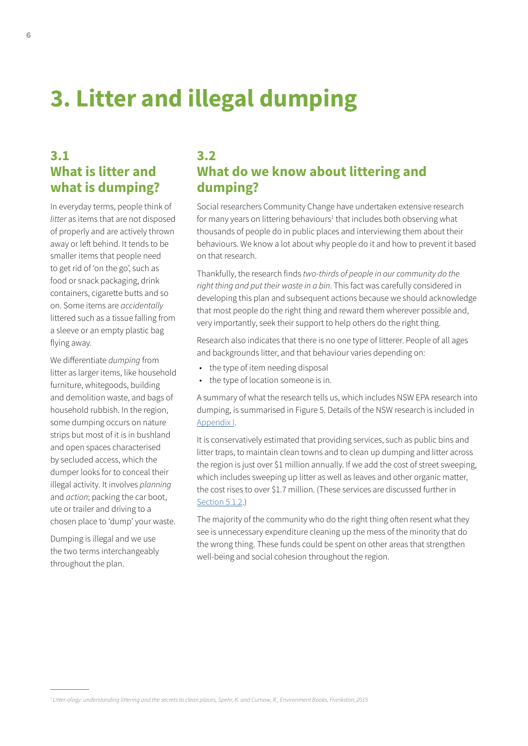# <span id="page-7-0"></span>**3. Litter and illegal dumping**

# **3.1 What is litter and what is dumping?**

In everyday terms, people think of *litter* as items that are not disposed of properly and are actively thrown away or left behind. It tends to be smaller items that people need to get rid of 'on the go', such as food or snack packaging, drink containers, cigarette butts and so on. Some items are *accidentally* littered such as a tissue falling from a sleeve or an empty plastic bag flying away.

We differentiate *dumping* from litter as larger items, like household furniture, whitegoods, building and demolition waste, and bags of household rubbish. In the region, some dumping occurs on nature strips but most of it is in bushland and open spaces characterised by secluded access, which the dumper looks for to conceal their illegal activity. It involves *planning* and *action*; packing the car boot, ute or trailer and driving to a chosen place to 'dump' your waste.

Dumping is illegal and we use the two terms interchangeably throughout the plan.

# **3.2 What do we know about littering and dumping?**

Social researchers Community Change have undertaken extensive research for many years on littering behaviours<sup>1</sup> that includes both observing what thousands of people do in public places and interviewing them about their behaviours. We know a lot about why people do it and how to prevent it based on that research.

Thankfully, the research finds *two-thirds of people in our community do the right thing and put their waste in a bin*. This fact was carefully considered in developing this plan and subsequent actions because we should acknowledge that most people do the right thing and reward them wherever possible and, very importantly, seek their support to help others do the right thing.

Research also indicates that there is no one type of litterer. People of all ages and backgrounds litter, and that behaviour varies depending on:

- the type of item needing disposal
- the type of location someone is in.

A summary of what the research tells us, which includes NSW EPA research into dumping, is summarised in Figure 5. Details of the NSW research is included in [Appendix I.](#page-29-0)

It is conservatively estimated that providing services, such as public bins and litter traps, to maintain clean towns and to clean up dumping and litter across the region is just over \$1 million annually. If we add the cost of street sweeping, which includes sweeping up litter as well as leaves and other organic matter, the cost rises to over \$1.7 million. (These services are discussed further in [Section 5.1.2](#page-14-0).)

The majority of the community who do the right thing often resent what they see is unnecessary expenditure cleaning up the mess of the minority that do the wrong thing. These funds could be spent on other areas that strengthen well-being and social cohesion throughout the region.

*<sup>1</sup> Litter-ology: understanding littering and the secrets to clean places, Spehr, K. and Curnow, R., Environment Books, Frankston, 2015*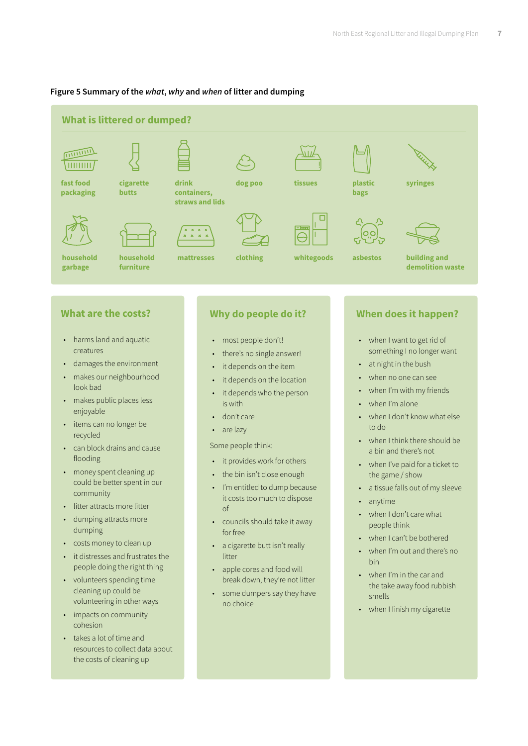#### **Figure 5 Summary of the** *what***,** *why* **and** *when* **of litter and dumping**



## **What are the costs?**

- harms land and aquatic creatures
- damages the environment
- makes our neighbourhood look bad
- makes public places less enjoyable
- items can no longer be recycled
- can block drains and cause flooding
- money spent cleaning up could be better spent in our community
- litter attracts more litter
- dumping attracts more dumping
- costs money to clean up
- it distresses and frustrates the people doing the right thing
- volunteers spending time cleaning up could be volunteering in other ways
- impacts on community cohesion
- takes a lot of time and resources to collect data about the costs of cleaning up

## **Why do people do it?**

- most people don't!
- there's no single answer!
- it depends on the item
- it depends on the location
- it depends who the person is with
- don't care
- are lazy

#### Some people think:

- it provides work for others
- the bin isn't close enough
- I'm entitled to dump because it costs too much to dispose of
- councils should take it away for free
- a cigarette butt isn't really litter
- apple cores and food will break down, they're not litter
- some dumpers say they have no choice

## **When does it happen?**

- when I want to get rid of something I no longer want
- at night in the bush
- when no one can see
- when I'm with my friends
- when I'm alone
- when I don't know what else to do
- when I think there should be a bin and there's not
- when I've paid for a ticket to the game / show
- a tissue falls out of my sleeve
- anytime
- when I don't care what people think
- when I can't be bothered
- when I'm out and there's no bin
- when I'm in the car and the take away food rubbish smells
- when I finish my cigarette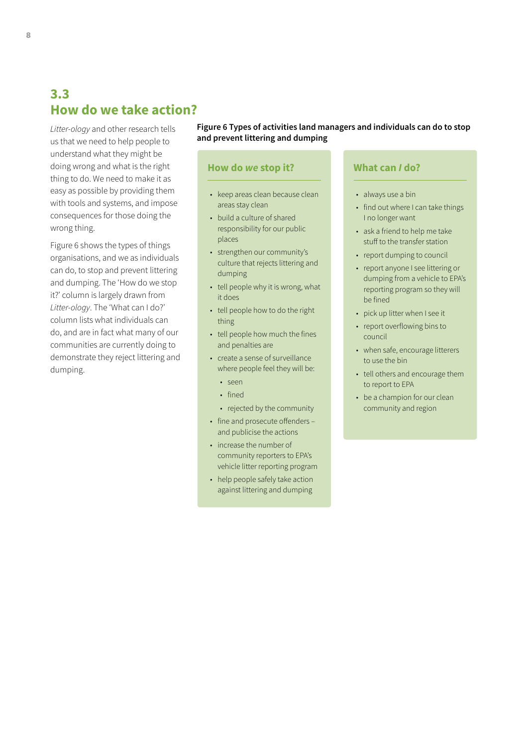# <span id="page-9-0"></span>**3.3 How do we take action?**

*Litter-ology* and other research tells us that we need to help people to understand what they might be doing wrong and what is the right thing to do. We need to make it as easy as possible by providing them with tools and systems, and impose consequences for those doing the wrong thing.

Figure 6 shows the types of things organisations, and we as individuals can do, to stop and prevent littering and dumping. The 'How do we stop it?' column is largely drawn from *Litter-ology*. The 'What can I do?' column lists what individuals can do, and are in fact what many of our communities are currently doing to demonstrate they reject littering and dumping.

#### **Figure 6 Types of activities land managers and individuals can do to stop and prevent littering and dumping**

#### **How do** *we* **stop it?**

- keep areas clean because clean areas stay clean
- build a culture of shared responsibility for our public places
- strengthen our community's culture that rejects littering and dumping
- tell people why it is wrong, what it does
- tell people how to do the right thing
- tell people how much the fines and penalties are
- create a sense of surveillance where people feel they will be:
	- seen
	- fined
	- rejected by the community
- fine and prosecute offenders and publicise the actions
- increase the number of community reporters to EPA's vehicle litter reporting program
- help people safely take action against littering and dumping

### **What can** *I* **do?**

- always use a bin
- find out where I can take things I no longer want
- ask a friend to help me take stuff to the transfer station
- report dumping to council
- report anyone I see littering or dumping from a vehicle to EPA's reporting program so they will be fined
- pick up litter when I see it
- report overflowing bins to council
- when safe, encourage litterers to use the bin
- tell others and encourage them to report to EPA
- be a champion for our clean community and region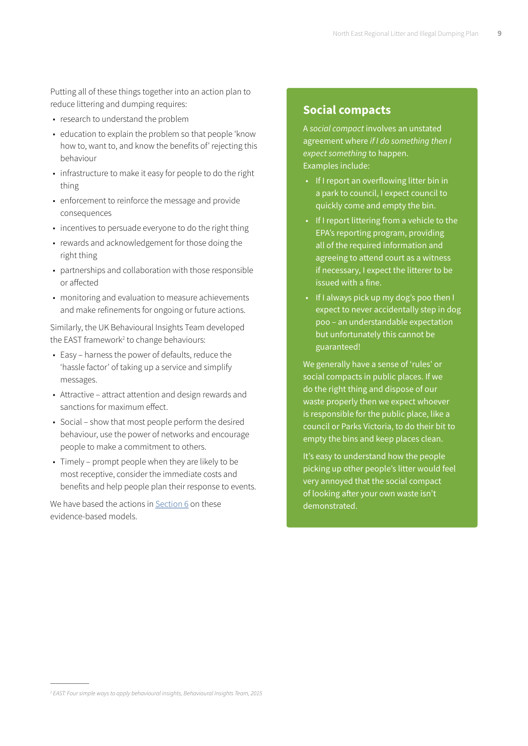Putting all of these things together into an action plan to reduce littering and dumping requires:

- research to understand the problem
- education to explain the problem so that people 'know how to, want to, and know the benefits of' rejecting this behaviour
- infrastructure to make it easy for people to do the right thing
- enforcement to reinforce the message and provide consequences
- incentives to persuade everyone to do the right thing
- rewards and acknowledgement for those doing the right thing
- partnerships and collaboration with those responsible or affected
- monitoring and evaluation to measure achievements and make refinements for ongoing or future actions.

Similarly, the UK Behavioural Insights Team developed the EAST framework<sup>2</sup> to change behaviours:

- Easy harness the power of defaults, reduce the 'hassle factor' of taking up a service and simplify messages.
- Attractive attract attention and design rewards and sanctions for maximum effect.
- Social show that most people perform the desired behaviour, use the power of networks and encourage people to make a commitment to others.
- Timely prompt people when they are likely to be most receptive, consider the immediate costs and benefits and help people plan their response to events.

We have based the actions in [Section 6](#page-25-0) on these evidence-based models.

### **Social compacts**

A *social compact* involves an unstated agreement where *if I do something then I expect something* to happen. Examples include:

- If I report an overflowing litter bin in a park to council, I expect council to quickly come and empty the bin.
- If I report littering from a vehicle to the EPA's reporting program, providing all of the required information and agreeing to attend court as a witness if necessary, I expect the litterer to be issued with a fine.
- If I always pick up my dog's poo then I expect to never accidentally step in dog poo – an understandable expectation but unfortunately this cannot be guaranteed!

We generally have a sense of 'rules' or social compacts in public places. If we do the right thing and dispose of our waste properly then we expect whoever is responsible for the public place, like a council or Parks Victoria, to do their bit to empty the bins and keep places clean.

It's easy to understand how the people picking up other people's litter would feel very annoyed that the social compact of looking after your own waste isn't demonstrated.

*<sup>2</sup> EAST: Four simple ways to apply behavioural insights, Behavioural Insights Team, 2015*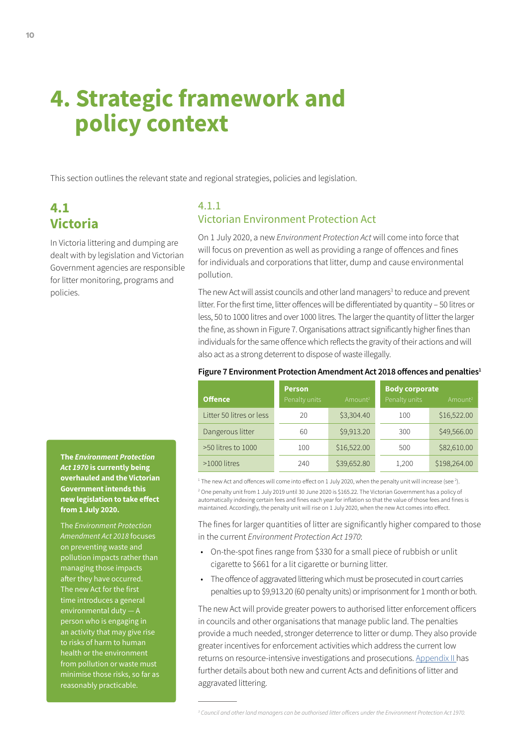# **4. Strategic framework and policy context**

This section outlines the relevant state and regional strategies, policies and legislation.

# **4.1 Victoria**

In Victoria littering and dumping are dealt with by legislation and Victorian Government agencies are responsible for litter monitoring, programs and policies.

## 4.1.1 Victorian Environment Protection Act

On 1 July 2020, a new *Environment Protection Act* will come into force that will focus on prevention as well as providing a range of offences and fines for individuals and corporations that litter, dump and cause environmental pollution.

The new Act will assist councils and other land managers<sup>3</sup> to reduce and prevent litter. For the first time, litter offences will be differentiated by quantity – 50 litres or less, 50 to 1000 litres and over 1000 litres. The larger the quantity of litter the larger the fine, as shown in Figure 7. Organisations attract significantly higher fines than individuals for the same offence which reflects the gravity of their actions and will also act as a strong deterrent to dispose of waste illegally.

|                          | <b>Person</b> |                     | <b>Body corporate</b> |                     |
|--------------------------|---------------|---------------------|-----------------------|---------------------|
| <b>Offence</b>           | Penalty units | Amount <sup>2</sup> | Penalty units         | Amount <sup>2</sup> |
| Litter 50 litres or less | 20            | \$3,304.40          | 100                   | \$16,522.00         |
| Dangerous litter         | 60            | \$9,913.20          | 300                   | \$49,566.00         |
| >50 litres to 1000       | 100           | \$16,522.00         | 500                   | \$82,610.00         |
| $>1000$ litres           | 240           | \$39,652.80         | 1,200                 | \$198,264.00        |

#### Figure 7 Environment Protection Amendment Act 2018 offences and penalties<sup>1</sup>

 $^{\rm 1}$  The new Act and offences will come into effect on 1 July 2020, when the penalty unit will increase (see <sup>2</sup>). 2 One penalty unit from 1 July 2019 until 30 June 2020 is \$165.22. The Victorian Government has a policy of automatically indexing certain fees and fines each year for inflation so that the value of those fees and fines is maintained. Accordingly, the penalty unit will rise on 1 July 2020, when the new Act comes into effect.

The fines for larger quantities of litter are significantly higher compared to those in the current *Environment Protection Act 1970*:

- On-the-spot fines range from \$330 for a small piece of rubbish or unlit cigarette to \$661 for a lit cigarette or burning litter.
- The offence of aggravated littering which must be prosecuted in court carries penalties up to \$9,913.20 (60 penalty units) or imprisonment for 1 month or both.

The new Act will provide greater powers to authorised litter enforcement officers in councils and other organisations that manage public land. The penalties provide a much needed, stronger deterrence to litter or dump. They also provide greater incentives for enforcement activities which address the current low returns on resource-intensive investigations and prosecutions. [Appendix II h](#page-29-0)as further details about both new and current Acts and definitions of litter and aggravated littering.

**The** *Environment Protection Act 1970* **is currently being overhauled and the Victorian Government intends this new legislation to take effect from 1 July 2020.** 

The *Environment Protection Amendment Act 2018* focuses on preventing waste and pollution impacts rather than managing those impacts after they have occurred. The new Act for the first time introduces a general environmental duty person who is engaging in an activity that may give rise to risks of harm to human health or the environment from pollution or waste must minimise those risks, so far as reasonably practicable.

*<sup>3</sup> Council and other land managers can be authorised litter officers under the Environment Protection Act 1970.*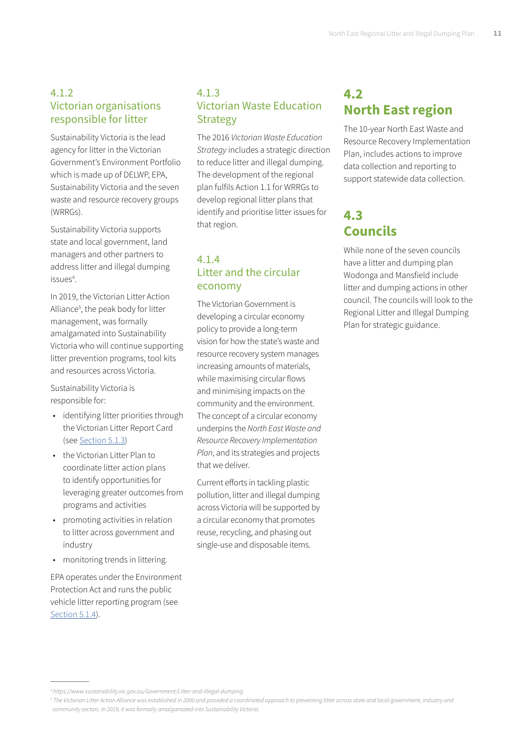## <span id="page-12-0"></span>4.1.2 Victorian organisations responsible for litter

Sustainability Victoria is the lead agency for litter in the Victorian Government's Environment Portfolio which is made up of DELWP, EPA, Sustainability Victoria and the seven waste and resource recovery groups (WRRGs).

Sustainability Victoria supports state and local government, land managers and other partners to address litter and illegal dumping issues<sup>4</sup>.

In 2019, the Victorian Litter Action Alliance<sup>5</sup>, the peak body for litter management, was formally amalgamated into Sustainability Victoria who will continue supporting litter prevention programs, tool kits and resources across Victoria.

Sustainability Victoria is responsible for:

- identifying litter priorities through the Victorian Litter Report Card (see [Section 5.1.3\)](#page-15-0)
- the Victorian Litter Plan to coordinate litter action plans to identify opportunities for leveraging greater outcomes from programs and activities
- promoting activities in relation to litter across government and industry
- monitoring trends in littering.

EPA operates under the Environment Protection Act and runs the public vehicle litter reporting program (see [Section 5.1.4](#page-16-0)).

## 4.1.3 Victorian Waste Education **Strategy**

The 2016 *Victorian Waste Education Strategy* includes a strategic direction to reduce litter and illegal dumping. The development of the regional plan fulfils Action 1.1 for WRRGs to develop regional litter plans that identify and prioritise litter issues for that region.

## 4.1.4 Litter and the circular economy

The Victorian Government is developing a circular economy policy to provide a long-term vision for how the state's waste and resource recovery system manages increasing amounts of materials, while maximising circular flows and minimising impacts on the community and the environment. The concept of a circular economy underpins the *North East Waste and Resource Recovery Implementation Plan*, and its strategies and projects that we deliver.

Current efforts in tackling plastic pollution, litter and illegal dumping across Victoria will be supported by a circular economy that promotes reuse, recycling, and phasing out single-use and disposable items.

# **4.2 North East region**

The 10-year North East Waste and Resource Recovery Implementation Plan, includes actions to improve data collection and reporting to support statewide data collection.

# **4.3 Councils**

While none of the seven councils have a litter and dumping plan Wodonga and Mansfield include litter and dumping actions in other council. The councils will look to the Regional Litter and Illegal Dumping Plan for strategic guidance.

*<sup>4</sup> https://www.sustainability.vic.gov.au/Government/Litter-and-illegal-dumping*

*<sup>5</sup> The Victorian Litter Action Alliance was established in 2000 and provided a coordinated approach to preventing litter across state and local government, industry and community sectors. In 2019, it was formally amalgamated into Sustainability Victoria.*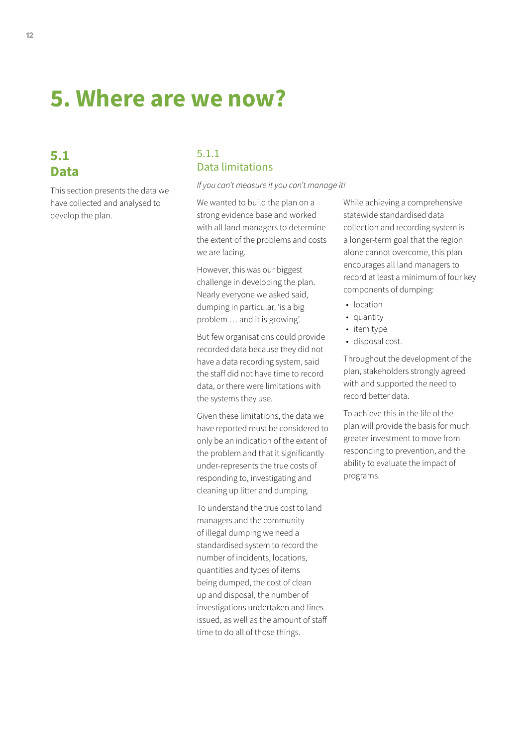# **5. Where are we now?**

## **5.1 Data**

This section presents the data we have collected and analysed to develop the plan.

## 5.1.1 Data limitations

*If you can't measure it you can't manage it!*

We wanted to build the plan on a strong evidence base and worked with all land managers to determine the extent of the problems and costs we are facing.

However, this was our biggest challenge in developing the plan. Nearly everyone we asked said, dumping in particular, 'is a big problem … and it is growing'.

But few organisations could provide recorded data because they did not have a data recording system, said the staff did not have time to record data, or there were limitations with the systems they use.

Given these limitations, the data we have reported must be considered to only be an indication of the extent of the problem and that it significantly under-represents the true costs of responding to, investigating and cleaning up litter and dumping.

To understand the true cost to land managers and the community of illegal dumping we need a standardised system to record the number of incidents, locations, quantities and types of items being dumped, the cost of clean up and disposal, the number of investigations undertaken and fines issued, as well as the amount of staff time to do all of those things.

While achieving a comprehensive statewide standardised data collection and recording system is a longer-term goal that the region alone cannot overcome, this plan encourages all land managers to record at least a minimum of four key components of dumping:

- location
- quantity
- item type
- disposal cost.

Throughout the development of the plan, stakeholders strongly agreed with and supported the need to record better data.

To achieve this in the life of the plan will provide the basis for much greater investment to move from responding to prevention, and the ability to evaluate the impact of programs.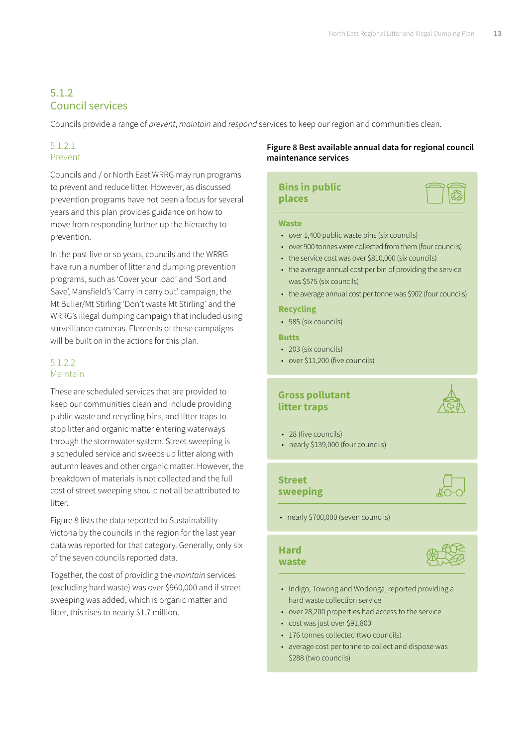## <span id="page-14-0"></span>5.1.2 Council services

Councils provide a range of *prevent*, *maintain* and *respond* services to keep our region and communities clean.

### 5.1.2.1 Prevent

Councils and / or North East WRRG may run programs to prevent and reduce litter. However, as discussed prevention programs have not been a focus for several years and this plan provides guidance on how to move from responding further up the hierarchy to prevention.

In the past five or so years, councils and the WRRG have run a number of litter and dumping prevention programs, such as 'Cover your load' and 'Sort and Save', Mansfield's 'Carry in carry out' campaign, the Mt Buller/Mt Stirling 'Don't waste Mt Stirling' and the WRRG's illegal dumping campaign that included using surveillance cameras. Elements of these campaigns will be built on in the actions for this plan.

### 5.1.2.2 Maintain

These are scheduled services that are provided to keep our communities clean and include providing public waste and recycling bins, and litter traps to stop litter and organic matter entering waterways through the stormwater system. Street sweeping is a scheduled service and sweeps up litter along with autumn leaves and other organic matter. However, the breakdown of materials is not collected and the full cost of street sweeping should not all be attributed to litter.

Figure 8 lists the data reported to Sustainability Victoria by the councils in the region for the last year data was reported for that category. Generally, only six of the seven councils reported data.

Together, the cost of providing the *maintain* services (excluding hard waste) was over \$960,000 and if street sweeping was added, which is organic matter and litter, this rises to nearly \$1.7 million.

#### **Figure 8 Best available annual data for regional council maintenance services**

#### **Bins in public places**

#### **Waste**

- over 1,400 public waste bins (six councils)
- over 900 tonnes were collected from them (four councils)
- the service cost was over \$810,000 (six councils)
- the average annual cost per bin of providing the service was \$575 (six councils)
- the average annual cost per tonne was \$902 (four councils)

#### **Recycling**

• 585 (six councils)

#### **Butts**

- 203 (six councils)
- over \$11,200 (five councils)

### **Gross pollutant litter traps**



- 28 (five councils)
- nearly \$139,000 (four councils)

## **Street sweeping**



• nearly \$700,000 (seven councils)

#### **Hard waste**



- Indigo, Towong and Wodonga, reported providing a hard waste collection service
- over 28,200 properties had access to the service
- cost was just over \$91,800
- 176 tonnes collected (two councils)
- average cost per tonne to collect and dispose was \$288 (two councils)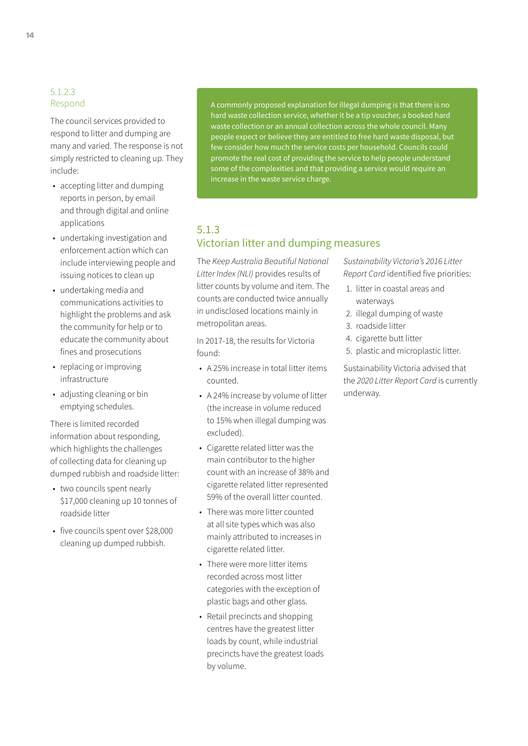#### <span id="page-15-0"></span>5.1.2.3 Respond

The council services provided to respond to litter and dumping are many and varied. The response is not simply restricted to cleaning up. They include:

- accepting litter and dumping reports in person, by email and through digital and online applications
- undertaking investigation and enforcement action which can include interviewing people and issuing notices to clean up
- undertaking media and communications activities to highlight the problems and ask the community for help or to educate the community about fines and prosecutions
- replacing or improving infrastructure
- adjusting cleaning or bin emptying schedules.

There is limited recorded information about responding, which highlights the challenges of collecting data for cleaning up dumped rubbish and roadside litter:

- two councils spent nearly \$17,000 cleaning up 10 tonnes of roadside litter
- five councils spent over \$28,000 cleaning up dumped rubbish.

A commonly proposed explanation for illegal dumping is that there is no hard waste collection service, whether it be a tip voucher, a booked hard waste collection or an annual collection across the whole council. Many people expect or believe they are entitled to free hard waste disposal, but few consider how much the service costs per household. Councils could promote the real cost of providing the service to help people understand some of the complexities and that providing a service would require an increase in the waste service charge.

## 5.1.3 Victorian litter and dumping measures

The *Keep Australia Beautiful National Litter Index (NLI)* provides results of litter counts by volume and item. The counts are conducted twice annually in undisclosed locations mainly in metropolitan areas.

In 2017-18, the results for Victoria found:

- A 25% increase in total litter items counted.
- A 24% increase by volume of litter (the increase in volume reduced to 15% when illegal dumping was excluded).
- Cigarette related litter was the main contributor to the higher count with an increase of 38% and cigarette related litter represented 59% of the overall litter counted.
- There was more litter counted at all site types which was also mainly attributed to increases in cigarette related litter.
- There were more litter items recorded across most litter categories with the exception of plastic bags and other glass.
- Retail precincts and shopping centres have the greatest litter loads by count, while industrial precincts have the greatest loads by volume.

*Sustainability Victoria's 2016 Litter Report Card* identified five priorities:

- 1. litter in coastal areas and waterways
- 2. illegal dumping of waste
- 3. roadside litter
- 4. cigarette butt litter
- 5. plastic and microplastic litter.

Sustainability Victoria advised that the *2020 Litter Report Card* is currently underway.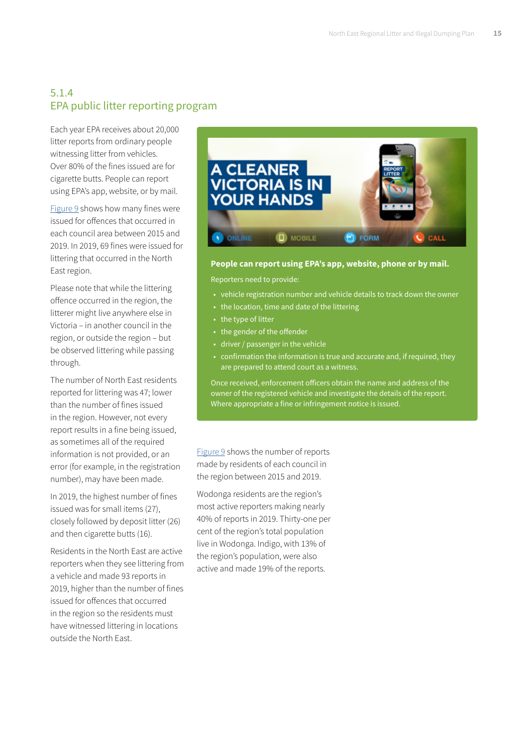## <span id="page-16-0"></span>5.1.4 EPA public litter reporting program

Each year EPA receives about 20,000 litter reports from ordinary people witnessing litter from vehicles. Over 80% of the fines issued are for cigarette butts. People can report using EPA's app, website, or by mail.

[Figure 9](#page-17-0) shows how many fines were issued for offences that occurred in each council area between 2015 and 2019. In 2019, 69 fines were issued for littering that occurred in the North East region.

Please note that while the littering offence occurred in the region, the litterer might live anywhere else in Victoria – in another council in the region, or outside the region – but be observed littering while passing through.

The number of North East residents reported for littering was 47; lower than the number of fines issued in the region. However, not every report results in a fine being issued, as sometimes all of the required information is not provided, or an error (for example, in the registration number), may have been made.

In 2019, the highest number of fines issued was for small items (27), closely followed by deposit litter (26) and then cigarette butts (16).

Residents in the North East are active reporters when they see littering from a vehicle and made 93 reports in 2019, higher than the number of fines issued for offences that occurred in the region so the residents must have witnessed littering in locations outside the North East.



#### **People can report using EPA's app, website, phone or by mail.**

Reporters need to provide:

- vehicle registration number and vehicle details to track down the owner
- the location, time and date of the littering
- the type of litter
- the gender of the offender
- driver / passenger in the vehicle
- confirmation the information is true and accurate and, if required, they are prepared to attend court as a witness.

Once received, enforcement officers obtain the name and address of the owner of the registered vehicle and investigate the details of the report. Where appropriate a fine or infringement notice is issued.

[Figure 9](#page-17-0) shows the number of reports made by residents of each council in the region between 2015 and 2019.

Wodonga residents are the region's most active reporters making nearly 40% of reports in 2019. Thirty-one per cent of the region's total population live in Wodonga. Indigo, with 13% of the region's population, were also active and made 19% of the reports.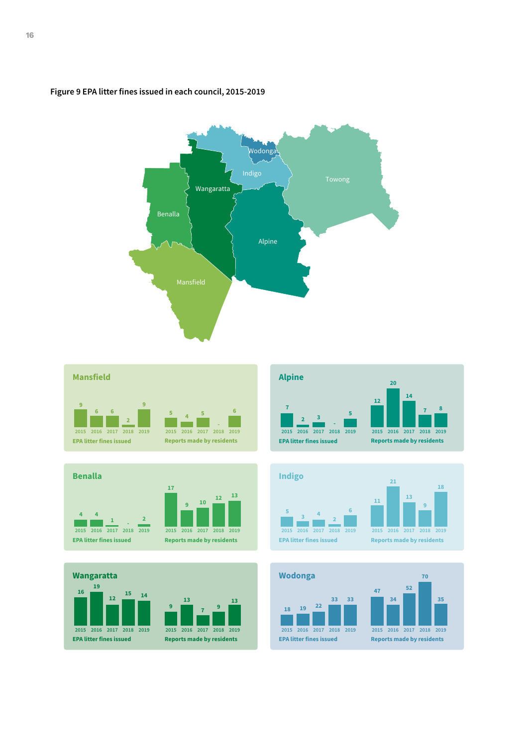

#### <span id="page-17-0"></span>**Figure 9 EPA litter fines issued in each council, 2015-2019**



**13**



 











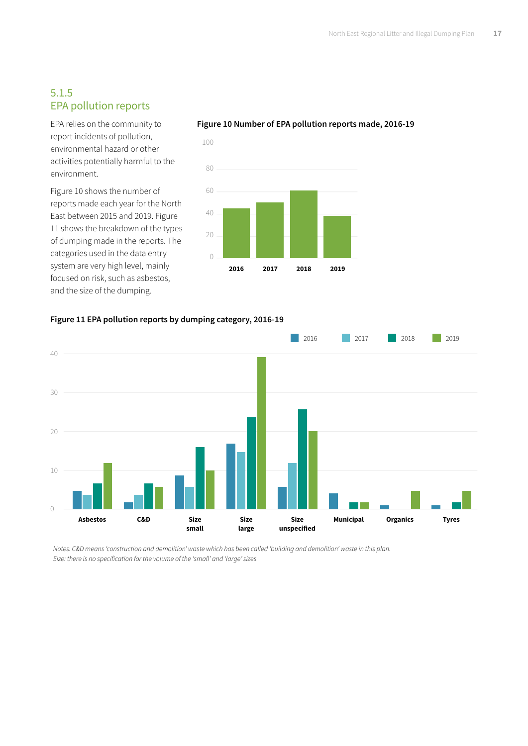## 5.1.5 EPA pollution reports

EPA relies on the community to report incidents of pollution, environmental hazard or other activities potentially harmful to the environment.

Figure 10 shows the number of reports made each year for the North East between 2015 and 2019. Figure 11 shows the breakdown of the types of dumping made in the reports. The categories used in the data entry system are very high level, mainly focused on risk, such as asbestos, and the size of the dumping.



#### **Figure 10 Number of EPA pollution reports made, 2016-19**





*Notes: C&D means 'construction and demolition' waste which has been called 'building and demolition' waste in this plan. Size: there is no specification for the volume of the 'small' and 'large' sizes*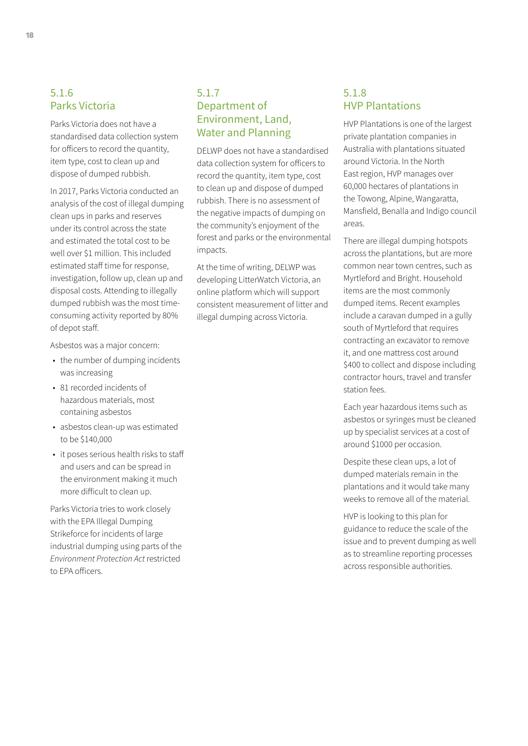## 5.1.6 Parks Victoria

Parks Victoria does not have a standardised data collection system for officers to record the quantity, item type, cost to clean up and dispose of dumped rubbish.

In 2017, Parks Victoria conducted an analysis of the cost of illegal dumping clean ups in parks and reserves under its control across the state and estimated the total cost to be well over \$1 million. This included estimated staff time for response, investigation, follow up, clean up and disposal costs. Attending to illegally dumped rubbish was the most timeconsuming activity reported by 80% of depot staff.

Asbestos was a major concern:

- the number of dumping incidents was increasing
- 81 recorded incidents of hazardous materials, most containing asbestos
- asbestos clean-up was estimated to be \$140,000
- it poses serious health risks to staff and users and can be spread in the environment making it much more difficult to clean up.

Parks Victoria tries to work closely with the EPA Illegal Dumping Strikeforce for incidents of large industrial dumping using parts of the *Environment Protection Act* restricted to EPA officers.

## 5.1.7 Department of Environment, Land, Water and Planning

DELWP does not have a standardised data collection system for officers to record the quantity, item type, cost to clean up and dispose of dumped rubbish. There is no assessment of the negative impacts of dumping on the community's enjoyment of the forest and parks or the environmental impacts.

At the time of writing, DELWP was developing LitterWatch Victoria, an online platform which will support consistent measurement of litter and illegal dumping across Victoria.

## 5.1.8 HVP Plantations

HVP Plantations is one of the largest private plantation companies in Australia with plantations situated around Victoria. In the North East region, HVP manages over 60,000 hectares of plantations in the Towong, Alpine, Wangaratta, Mansfield, Benalla and Indigo council areas.

There are illegal dumping hotspots across the plantations, but are more common near town centres, such as Myrtleford and Bright. Household items are the most commonly dumped items. Recent examples include a caravan dumped in a gully south of Myrtleford that requires contracting an excavator to remove it, and one mattress cost around \$400 to collect and dispose including contractor hours, travel and transfer station fees.

Each year hazardous items such as asbestos or syringes must be cleaned up by specialist services at a cost of around \$1000 per occasion.

Despite these clean ups, a lot of dumped materials remain in the plantations and it would take many weeks to remove all of the material.

HVP is looking to this plan for guidance to reduce the scale of the issue and to prevent dumping as well as to streamline reporting processes across responsible authorities.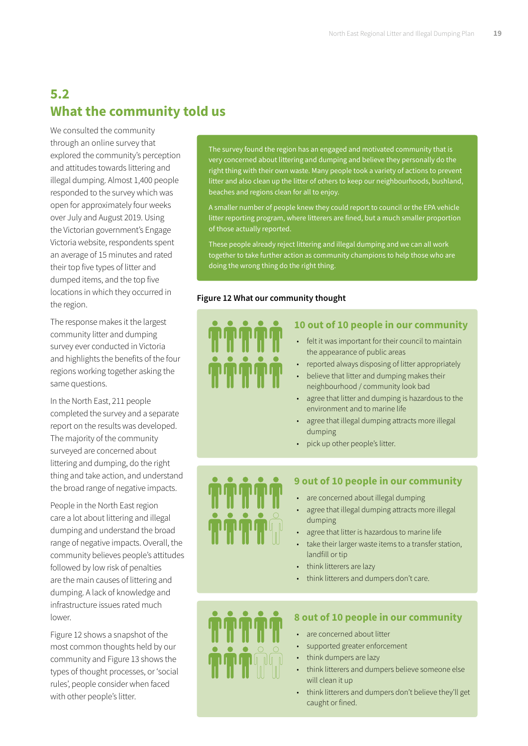# **5.2 What the community told us**

We consulted the community through an online survey that explored the community's perception and attitudes towards littering and illegal dumping. Almost 1,400 people responded to the survey which was open for approximately four weeks over July and August 2019. Using the Victorian government's Engage Victoria website, respondents spent an average of 15 minutes and rated their top five types of litter and dumped items, and the top five locations in which they occurred in the region.

The response makes it the largest community litter and dumping survey ever conducted in Victoria and highlights the benefits of the four regions working together asking the same questions.

In the North East, 211 people completed the survey and a separate report on the results was developed. The majority of the community surveyed are concerned about littering and dumping, do the right thing and take action, and understand the broad range of negative impacts.

People in the North East region care a lot about littering and illegal dumping and understand the broad range of negative impacts. Overall, the community believes people's attitudes followed by low risk of penalties are the main causes of littering and dumping. A lack of knowledge and infrastructure issues rated much lower.

Figure 12 shows a snapshot of the most common thoughts held by our community and Figure 13 shows the types of thought processes, or 'social rules', people consider when faced with other people's litter.

The survey found the region has an engaged and motivated community that is very concerned about littering and dumping and believe they personally do the right thing with their own waste. Many people took a variety of actions to prevent litter and also clean up the litter of others to keep our neighbourhoods, bushland, beaches and regions clean for all to enjoy.

A smaller number of people knew they could report to council or the EPA vehicle litter reporting program, where litterers are fined, but a much smaller proportion of those actually reported.

These people already reject littering and illegal dumping and we can all work together to take further action as community champions to help those who are doing the wrong thing do the right thing.

#### **Figure 12 What our community thought**



### **10 out of 10 people in our community**

- felt it was important for their council to maintain the appearance of public areas
- reported always disposing of litter appropriately
- believe that litter and dumping makes their neighbourhood / community look bad
- agree that litter and dumping is hazardous to the environment and to marine life
- agree that illegal dumping attracts more illegal dumping
- pick up other people's litter.



#### **9 out of 10 people in our community**

- are concerned about illegal dumping
- agree that illegal dumping attracts more illegal dumping
- agree that litter is hazardous to marine life
- take their larger waste items to a transfer station, landfill or tip
- think litterers are lazy
- think litterers and dumpers don't care.



#### **8 out of 10 people in our community**

- are concerned about litter
- supported greater enforcement
- think dumpers are lazy
- think litterers and dumpers believe someone else will clean it up
- think litterers and dumpers don't believe they'll get caught or fined.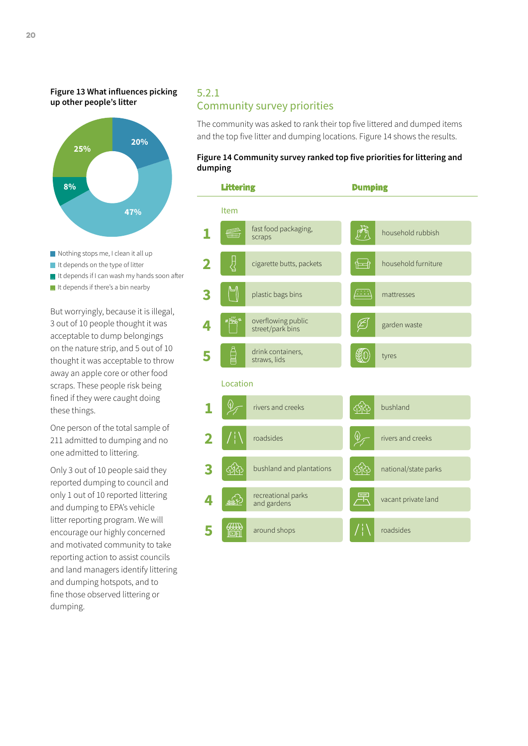<span id="page-21-0"></span>**Figure 13 What influences picking up other people's litter**



- Nothing stops me, I clean it all up
- It depends on the type of litter
- It depends if I can wash my hands soon after
- It depends if there's a bin nearby

But worryingly, because it is illegal, 3 out of 10 people thought it was acceptable to dump belongings on the nature strip, and 5 out of 10 thought it was acceptable to throw away an apple core or other food scraps. These people risk being fined if they were caught doing these things.

One person of the total sample of 211 admitted to dumping and no one admitted to littering.

Only 3 out of 10 people said they reported dumping to council and only 1 out of 10 reported littering and dumping to EPA's vehicle litter reporting program. We will encourage our highly concerned and motivated community to take reporting action to assist councils and land managers identify littering and dumping hotspots, and to fine those observed littering or dumping.

### 5.2.1 Community survey priorities

The community was asked to rank their top five littered and dumped items and the top five litter and dumping locations. Figure 14 shows the results.

#### **Figure 14 Community survey ranked top five priorities for littering and dumping**

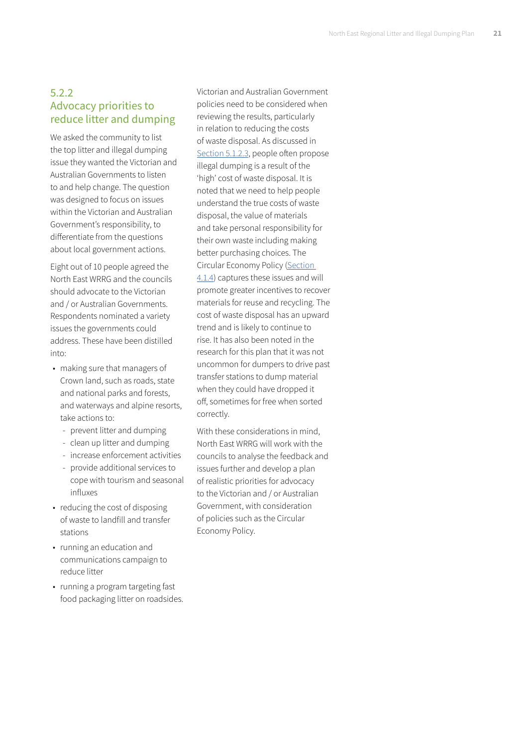## 5.2.2 Advocacy priorities to reduce litter and dumping

We asked the community to list the top litter and illegal dumping issue they wanted the Victorian and Australian Governments to listen to and help change. The question was designed to focus on issues within the Victorian and Australian Government's responsibility, to differentiate from the questions about local government actions.

Eight out of 10 people agreed the North East WRRG and the councils should advocate to the Victorian and / or Australian Governments. Respondents nominated a variety issues the governments could address. These have been distilled into:

- making sure that managers of Crown land, such as roads, state and national parks and forests, and waterways and alpine resorts, take actions to:
	- prevent litter and dumping
	- clean up litter and dumping
	- increase enforcement activities
	- provide additional services to cope with tourism and seasonal influxes
- reducing the cost of disposing of waste to landfill and transfer stations
- running an education and communications campaign to reduce litter
- running a program targeting fast food packaging litter on roadsides.

Victorian and Australian Government policies need to be considered when reviewing the results, particularly in relation to reducing the costs of waste disposal. As discussed in [Section 5.1.2.3](#page-15-0), people often propose illegal dumping is a result of the 'high' cost of waste disposal. It is noted that we need to help people understand the true costs of waste disposal, the value of materials and take personal responsibility for their own waste including making better purchasing choices. The Circular Economy Policy [\(Section](#page-12-0)  [4.1.4\)](#page-12-0) captures these issues and will promote greater incentives to recover materials for reuse and recycling. The cost of waste disposal has an upward trend and is likely to continue to rise. It has also been noted in the research for this plan that it was not uncommon for dumpers to drive past transfer stations to dump material when they could have dropped it off, sometimes for free when sorted correctly.

With these considerations in mind, North East WRRG will work with the councils to analyse the feedback and issues further and develop a plan of realistic priorities for advocacy to the Victorian and / or Australian Government, with consideration of policies such as the Circular Economy Policy.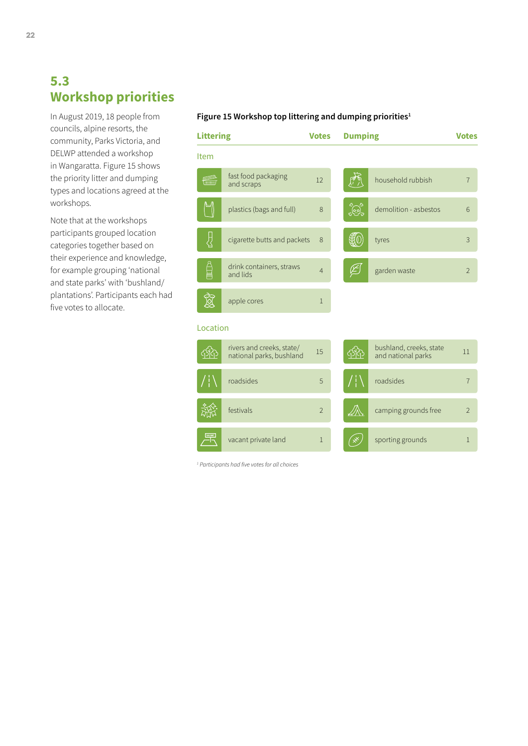# <span id="page-23-0"></span>**5.3 Workshop priorities**

In August 2019, 18 people from councils, alpine resorts, the community, Parks Victoria, and DELWP attended a workshop in Wangaratta. Figure 15 shows the priority litter and dumping types and locations agreed at the workshops.

Note that at the workshops participants grouped location categories together based on their experience and knowledge, for example grouping 'national and state parks' with 'bushland/ plantations'. Participants each had five votes to allocate.

#### **Figure 15 Workshop top littering and dumping priorities1**



*1 Participants had five votes for all choices*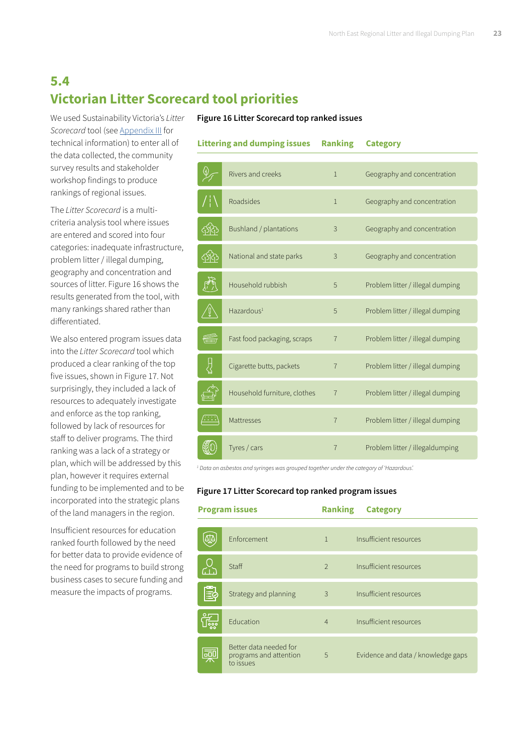# <span id="page-24-0"></span>**5.4 Victorian Litter Scorecard tool priorities**

We used Sustainability Victoria's *Litter Scorecard* tool (see [Appendix III](#page-29-0) for technical information) to enter all of the data collected, the community survey results and stakeholder workshop findings to produce rankings of regional issues.

The *Litter Scorecard* is a multicriteria analysis tool where issues are entered and scored into four categories: inadequate infrastructure, problem litter / illegal dumping, geography and concentration and sources of litter. Figure 16 shows the results generated from the tool, with many rankings shared rather than differentiated.

We also entered program issues data into the *Litter Scorecard* tool which produced a clear ranking of the top five issues, shown in Figure 17. Not surprisingly, they included a lack of resources to adequately investigate and enforce as the top ranking, followed by lack of resources for staff to deliver programs. The third ranking was a lack of a strategy or plan, which will be addressed by this plan, however it requires external funding to be implemented and to be incorporated into the strategic plans of the land managers in the region.

Insufficient resources for education ranked fourth followed by the need for better data to provide evidence of the need for programs to build strong business cases to secure funding and measure the impacts of programs.

#### **Figure 16 Litter Scorecard top ranked issues**

| <b>Littering and dumping issues</b> |  | <b>Ranking</b> | <b>Category</b> |
|-------------------------------------|--|----------------|-----------------|
|                                     |  |                |                 |

|                                     | Rivers and creeks            | $\mathbf{1}$   | Geography and concentration      |
|-------------------------------------|------------------------------|----------------|----------------------------------|
|                                     | Roadsides                    | $\mathbf{1}$   | Geography and concentration      |
|                                     | Bushland / plantations       | 3              | Geography and concentration      |
|                                     | National and state parks     | 3              | Geography and concentration      |
|                                     | Household rubbish            | 5              | Problem litter / illegal dumping |
|                                     | Hazardous <sup>1</sup>       | 5              | Problem litter / illegal dumping |
| <b>REAL PROPERTY</b><br>(IIIIIIIII) | Fast food packaging, scraps  | $\overline{7}$ | Problem litter / illegal dumping |
|                                     | Cigarette butts, packets     | $\overline{7}$ | Problem litter / illegal dumping |
|                                     | Household furniture, clothes | $\overline{7}$ | Problem litter / illegal dumping |
|                                     | Mattresses                   | $\overline{7}$ | Problem litter / illegal dumping |
|                                     | Tyres / cars                 | $\overline{7}$ | Problem litter / illegaldumping  |

<sup>1</sup> Data on asbestos and syringes was grouped together under the category of 'Hazardous'.

#### **Figure 17 Litter Scorecard top ranked program issues**

| <b>Program issues</b>                     |                                                               | <b>Ranking</b> | <b>Category</b>                    |
|-------------------------------------------|---------------------------------------------------------------|----------------|------------------------------------|
|                                           |                                                               |                |                                    |
|                                           | <b>Fnforcement</b>                                            | $\mathbf{1}$   | Insufficient resources             |
|                                           | Staff                                                         | $\mathcal{P}$  | Insufficient resources             |
| 鷗                                         | Strategy and planning                                         | 3              | Insufficient resources             |
| ြစ္စစ္စ                                   | Education                                                     | $\overline{4}$ | Insufficient resources             |
| $\overline{\text{d} \overline{\text{d}}}$ | Better data needed for<br>programs and attention<br>to issues | 5              | Evidence and data / knowledge gaps |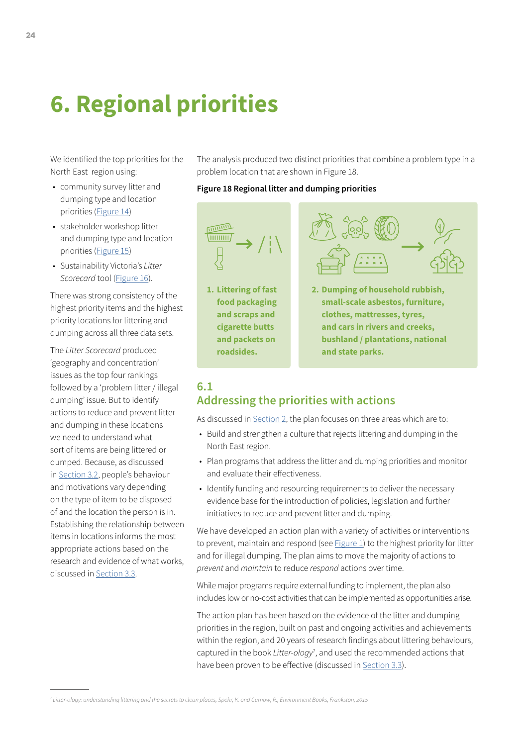# <span id="page-25-0"></span>**6. Regional priorities**

We identified the top priorities for the North East region using:

- community survey litter and dumping type and location priorities ([Figure 14\)](#page-21-0)
- stakeholder workshop litter and dumping type and location priorities ([Figure 15\)](#page-23-0)
- Sustainability Victoria's *Litter Scorecard* tool ([Figure 16](#page-24-0)).

There was strong consistency of the highest priority items and the highest priority locations for littering and dumping across all three data sets.

The *Litter Scorecard* produced 'geography and concentration' issues as the top four rankings followed by a 'problem litter / illegal dumping' issue. But to identify actions to reduce and prevent litter and dumping in these locations we need to understand what sort of items are being littered or dumped. Because, as discussed in [Section 3.2,](#page-7-0) people's behaviour and motivations vary depending on the type of item to be disposed of and the location the person is in. Establishing the relationship between items in locations informs the most appropriate actions based on the research and evidence of what works, discussed in [Section 3.3.](#page-9-0)

The analysis produced two distinct priorities that combine a problem type in a problem location that are shown in Figure 18.

#### **Figure 18 Regional litter and dumping priorities**



**1. Littering of fast food packaging and scraps and cigarette butts and packets on roadsides.** 



**2. Dumping of household rubbish, small-scale asbestos, furniture, clothes, mattresses, tyres, and cars in rivers and creeks, bushland / plantations, national and state parks.**

## **6.1 Addressing the priorities with actions**

As discussed in [Section 2](#page-3-0), the plan focuses on three areas which are to:

- Build and strengthen a culture that rejects littering and dumping in the North East region.
- Plan programs that address the litter and dumping priorities and monitor and evaluate their effectiveness.
- Identify funding and resourcing requirements to deliver the necessary evidence base for the introduction of policies, legislation and further initiatives to reduce and prevent litter and dumping.

We have developed an action plan with a variety of activities or interventions to prevent, maintain and respond (see  $Figure 1$ ) to the highest priority for litter and for illegal dumping. The plan aims to move the majority of actions to *prevent* and *maintain* to reduce *respond* actions over time.

While major programs require external funding to implement, the plan also includes low or no-cost activities that can be implemented as opportunities arise.

The action plan has been based on the evidence of the litter and dumping priorities in the region, built on past and ongoing activities and achievements within the region, and 20 years of research findings about littering behaviours, captured in the book *Litter-ology*<sup>7</sup> , and used the recommended actions that have been proven to be effective (discussed in [Section 3.3](#page-9-0)).

*<sup>7</sup> Litter-ology: understanding littering and the secrets to clean places, Spehr, K. and Curnow, R., Environment Books, Frankston, 2015*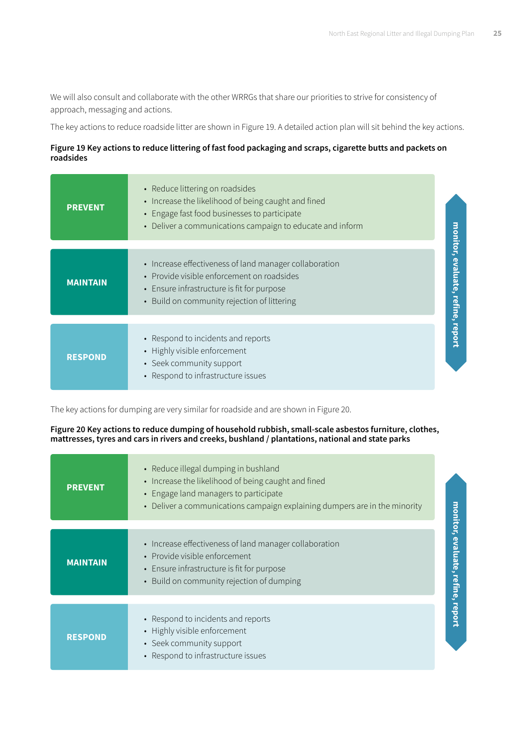We will also consult and collaborate with the other WRRGs that share our priorities to strive for consistency of approach, messaging and actions.

The key actions to reduce roadside litter are shown in Figure 19. A detailed action plan will sit behind the key actions.

#### **Figure 19 Key actions to reduce littering of fast food packaging and scraps, cigarette butts and packets on roadsides**

| <b>PREVENT</b>  | • Reduce littering on roadsides<br>• Increase the likelihood of being caught and fined<br>• Engage fast food businesses to participate<br>• Deliver a communications campaign to educate and inform | <u>monitor,</u>            |
|-----------------|-----------------------------------------------------------------------------------------------------------------------------------------------------------------------------------------------------|----------------------------|
| <b>MAINTAIN</b> | • Increase effectiveness of land manager collaboration<br>• Provide visible enforcement on roadsides<br>• Ensure infrastructure is fit for purpose<br>• Build on community rejection of littering   | evaluate<br><u>refine,</u> |
| <b>RESPOND</b>  | • Respond to incidents and reports<br>• Highly visible enforcement<br>• Seek community support<br>• Respond to infrastructure issues                                                                | report                     |

The key actions for dumping are very similar for roadside and are shown in Figure 20.

#### **Figure 20 Key actions to reduce dumping of household rubbish, small-scale asbestos furniture, clothes, mattresses, tyres and cars in rivers and creeks, bushland / plantations, national and state parks**

| <b>PREVENT</b>  | • Reduce illegal dumping in bushland<br>• Increase the likelihood of being caught and fined<br>• Engage land managers to participate<br>• Deliver a communications campaign explaining dumpers are in the minority | monitor,      |
|-----------------|--------------------------------------------------------------------------------------------------------------------------------------------------------------------------------------------------------------------|---------------|
|                 |                                                                                                                                                                                                                    |               |
| <b>MAINTAIN</b> | • Increase effectiveness of land manager collaboration<br>• Provide visible enforcement                                                                                                                            | evaluate,     |
|                 | • Ensure infrastructure is fit for purpose<br>• Build on community rejection of dumping                                                                                                                            | refine,       |
|                 |                                                                                                                                                                                                                    |               |
| <b>RESPOND</b>  | • Respond to incidents and reports<br>• Highly visible enforcement<br>• Seek community support<br>• Respond to infrastructure issues                                                                               | <b>report</b> |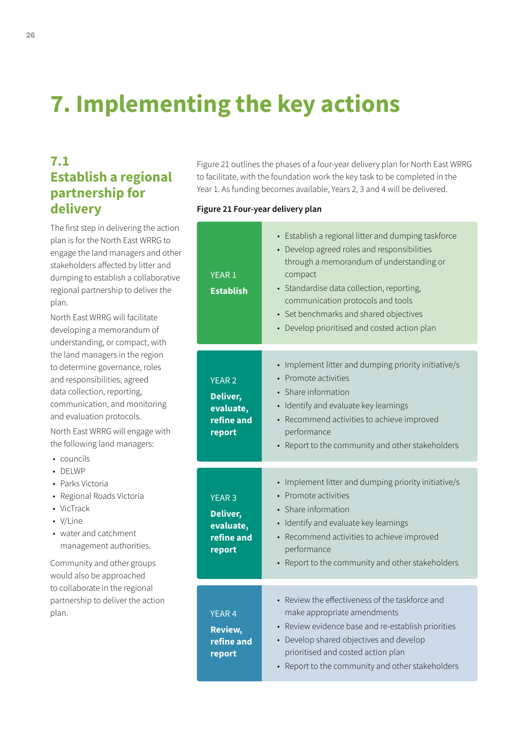# **7. Implementing the key actions**

# **7.1 Establish a regional partnership for delivery**

The first step in delivering the action plan is for the North East WRRG to engage the land managers and other stakeholders affected by litter and dumping to establish a collaborative regional partnership to deliver the plan.

North East WRRG will facilitate developing a memorandum of understanding, or compact, with the land managers in the region to determine governance, roles and responsibilities, agreed data collection, reporting, communication, and monitoring and evaluation protocols.

North East WRRG will engage with the following land managers:

- councils
- DELWP
- Alpine Resorts
- Parks Victoria
- Regional Roads Victoria
- VicTrack
- V/Line
- management authorities. • water and catchment

Community and other groups would also be approached to collaborate in the regional partnership to deliver the action plan.

 to facilitate, with the foundation work the key task to be completed in the Figure 21 outlines the phases of a four-year delivery plan for North East WRRG Year 1. As funding becomes available, Years 2, 3 and 4 will be delivered.

#### **Figure 21 Four-year delivery plan**

| YEAR <sub>1</sub><br><b>Establish</b>                          | • Establish a regional litter and dumping taskforce<br>• Develop agreed roles and responsibilities<br>through a memorandum of understanding or<br>compact<br>· Standardise data collection, reporting,<br>communication protocols and tools<br>• Set benchmarks and shared objectives<br>• Develop prioritised and costed action plan |
|----------------------------------------------------------------|---------------------------------------------------------------------------------------------------------------------------------------------------------------------------------------------------------------------------------------------------------------------------------------------------------------------------------------|
| <b>YEAR 2</b><br>Deliver,<br>evaluate,<br>refine and<br>report | • Implement litter and dumping priority initiative/s<br>• Promote activities<br>• Share information<br>· Identify and evaluate key learnings<br>• Recommend activities to achieve improved<br>performance<br>• Report to the community and other stakeholders                                                                         |
| <b>YEAR 3</b><br>Deliver,<br>evaluate,<br>refine and<br>report | • Implement litter and dumping priority initiative/s<br>• Promote activities<br>• Share information<br>• Identify and evaluate key learnings<br>• Recommend activities to achieve improved<br>performance<br>• Report to the community and other stakeholders                                                                         |
|                                                                | • Review the effectiveness of the taskforce and                                                                                                                                                                                                                                                                                       |
| <b>YEAR4</b><br>Review,<br>refine and<br>report                | make appropriate amendments<br>• Review evidence base and re-establish priorities<br>• Develop shared objectives and develop<br>prioritised and costed action plan<br>• Report to the community and other stakeholders                                                                                                                |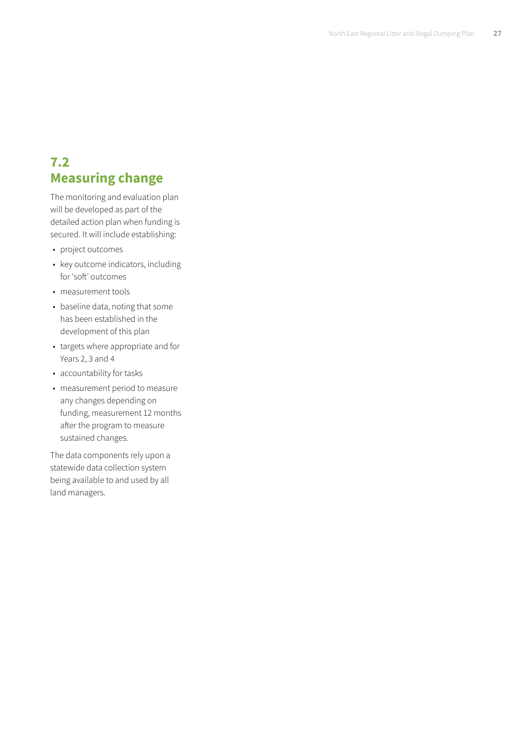# **7.2 Measuring change**

The monitoring and evaluation plan will be developed as part of the detailed action plan when funding is secured. It will include establishing:

- project outcomes
- key outcome indicators, including for 'soft' outcomes
- measurement tools
- baseline data, noting that some has been established in the development of this plan
- targets where appropriate and for Years 2, 3 and 4
- accountability for tasks
- measurement period to measure any changes depending on funding, measurement 12 months after the program to measure sustained changes.

The data components rely upon a statewide data collection system being available to and used by all land managers.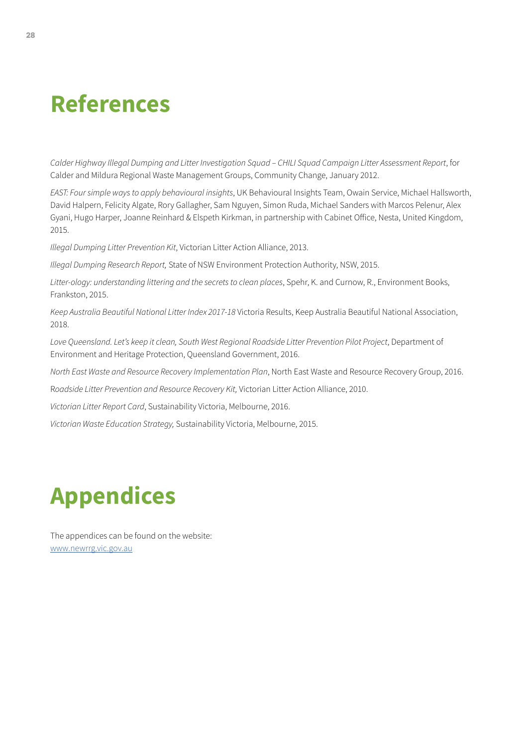# <span id="page-29-0"></span>**References**

*Calder Highway Illegal Dumping and Litter Investigation Squad – CHILI Squad Campaign Litter Assessment Report*, for Calder and Mildura Regional Waste Management Groups, Community Change, January 2012.

*EAST: Four simple ways to apply behavioural insights*, UK Behavioural Insights Team, Owain Service, Michael Hallsworth, David Halpern, Felicity Algate, Rory Gallagher, Sam Nguyen, Simon Ruda, Michael Sanders with Marcos Pelenur, Alex Gyani, Hugo Harper, Joanne Reinhard & Elspeth Kirkman, in partnership with Cabinet Office, Nesta, United Kingdom, 2015.

*Illegal Dumping Litter Prevention Kit*, Victorian Litter Action Alliance, 2013.

*Illegal Dumping Research Report,* State of NSW Environment Protection Authority, NSW, 2015.

*Litter-ology: understanding littering and the secrets to clean places*, Spehr, K. and Curnow, R., Environment Books, Frankston, 2015.

*Keep Australia Beautiful National Litter Index 2017-18* Victoria Results, Keep Australia Beautiful National Association, 2018.

*Love Queensland. Let's keep it clean, South West Regional Roadside Litter Prevention Pilot Project*, Department of Environment and Heritage Protection, Queensland Government, 2016.

*North East Waste and Resource Recovery Implementation Plan*, North East Waste and Resource Recovery Group, 2016.

R*oadside Litter Prevention and Resource Recovery Kit,* Victorian Litter Action Alliance, 2010.

*Victorian Litter Report Card*, Sustainability Victoria, Melbourne, 2016.

*Victorian Waste Education Strategy,* Sustainability Victoria, Melbourne, 2015.

# **Appendices**

The appendices can be found on the website: [www.newrrg.vic.gov.au](http://www.newrrg.vic.gov.au)